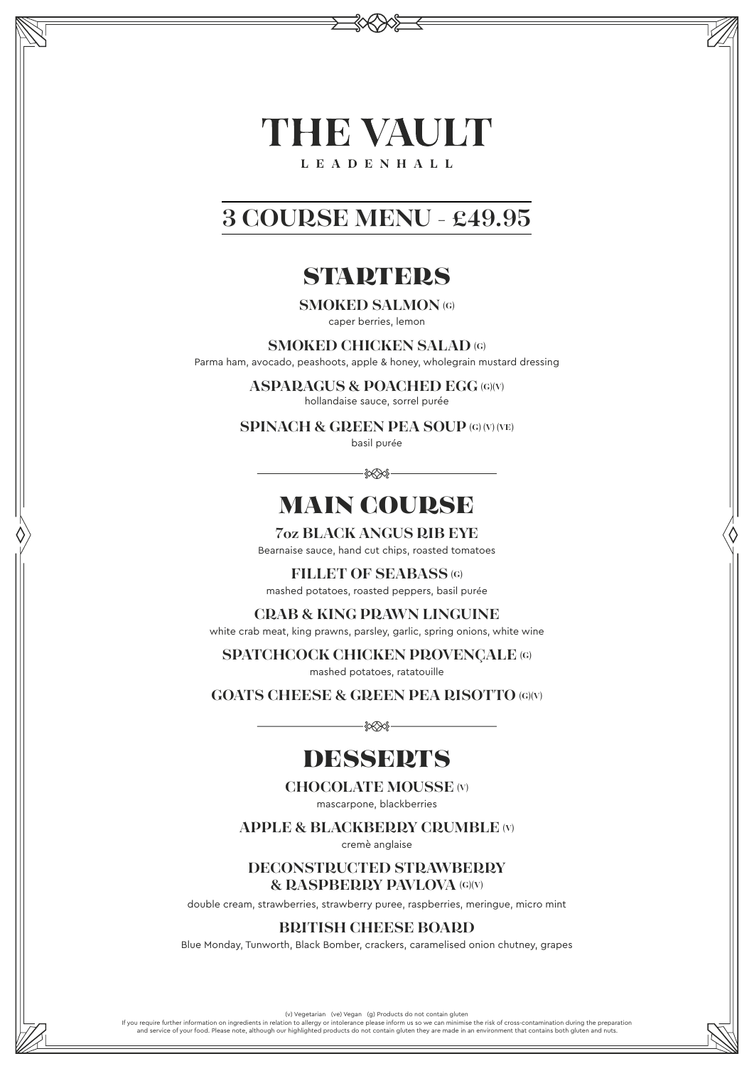# THE VAULT **LEADENHALL**

# **3 COURSE MENU - £49.95**

# **STARTERS**

**SMOKED SALMON (G)**

caper berries, lemon

#### **SMOKED CHICKEN SALAD (G)**

Parma ham, avocado, peashoots, apple & honey, wholegrain mustard dressing

**ASPARAGUS & POACHED EGG (G)(V)**

hollandaise sauce, sorrel purée

**SPINACH & GREEN PEA SOUP (G) (V) (VE)**

basil purée

 $-300$ 

# MAIN COURSE

**7oz BLACK ANGUS RIB EYE** Bearnaise sauce, hand cut chips, roasted tomatoes

**FILLET OF SEABASS (G)** mashed potatoes, roasted peppers, basil purée

**CRAB & KING PRAWN LINGUINE**

white crab meat, king prawns, parsley, garlic, spring onions, white wine

**SPATCHCOCK CHICKEN PROVENÇALE (G)**

mashed potatoes, ratatouille

**GOATS CHEESE & GREEN PEA RISOTTO (G)(V)**

 $-\frac{2}{3}$ 

# **DESSERTS**

**CHOCOLATE MOUSSE (V)**

mascarpone, blackberries

**APPLE & BLACKBERRY CRUMBLE (V)**

cremè anglaise

#### **DECONSTRUCTED STRAWBERRY & RASPBERRY PAVLOVA (G)(V)**

double cream, strawberries, strawberry puree, raspberries, meringue, micro mint

**BRITISH CHEESE BOARD**

Blue Monday, Tunworth, Black Bomber, crackers, caramelised onion chutney, grapes

(v) Vegetarian (ve) Vegan (g) Products do not contain gluten

If you require further information on ingredients in relation to allergy or intolerance please inform us so we can minimise the risk of cross-contamination during the preparation<br>and service of your food. Please note, alth